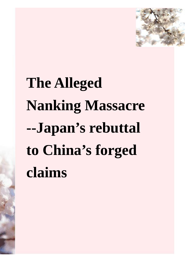

# **The Alleged Nanking Massacre --Japan's rebuttal to China's forged claims**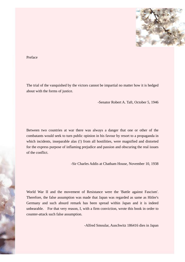

Preface

The trial of the vanquished by the victors cannot be impartial no matter how it is hedged about with the forms of justice.

-Senator Robert A. Taft, October 5, 1946

Between two countries at war there was always a danger that one or other of the combatants would seek to turn public opinion in his favour by resort to a propaganda in which incidents, inseparable alas (!) from all hostilities, were magnified and distorted for the express purpose of inflaming prejudice and passion and obscuring the real issues of the conflict.

-Sir Charles Addis at Chatham House, November 10, 1938

World War II and the movement of Resistance were the 'Battle against Fascism'. Therefore, the false assumption was made that Japan was regarded as same as Hitler's Germany and such absurd remark has been spread within Japan and it is indeed unbearable. For that very reason, I, with a firm conviction, wrote this book in order to counter-attack such false assumption.

-Alfred Smoular, Auschwitz 186416 dies in Japan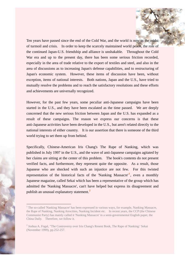Ten years have passed since the end of the Cold War, and the world is now in the midst of turmoil and crisis. In order to keep the scarcely maintained world peace, the role of the continued Japan-U.S. friendship and alliance is unshakable. Throughout the Cold War era and up to the present day, there has been some serious friction recorded, especially in the area of trade relative to the export of textiles and steel, and also in the area of discussions as to increasing Japan's defense capabilities, and to restructuring of Japan's economic system. However, these items of discussion have been, without exception, items of national interests. Both nations, Japan and the U.S., have tried to mutually resolve the problems and to reach the satisfactory resolutions and these efforts and achievements are universally recognized.

However, for the past few years, some peculiar anti-Japanese campaigns have been started in the U.S., and they have been escalated as the time passed. We are deeply concerned that the new serious friction between Japan and the U.S. has expanded as a result of these campaigns. The reason we express our concerns is that these anti-Japanese activities have been developed in the U.S., but aren't related directly to the national interests of either country. It is our assertion that there is someone of the third world trying to set them up from behind.

Specifically, Chinese-American Iris Chang's The Rape of Nanking, which was published in July 1997 in the U.S., and the wave of anti-Japanese campaigns agitated by her claims are sitting at the center of this problem. The book's contents do not present verified facts, and furthermore, they represent quite the opposite. As a result, those Japanese who are shocked with such an injustice are not few. For this twisted representation of the historical facts of the 'Nanking Massacre'<sup>[1](#page-2-0)</sup>, even a monthly Japanese magazine, called Sekai which has been a representative of the group which has admitted the 'Nanking Massacre', can't have helped but express its disagreement and publish an unusual explanatory statement.**[2](#page-2-1)**

<span id="page-2-0"></span><sup>&</sup>lt;sup>1</sup> The so-called 'Nanking Massacre' has been expressed in various ways, for example, Nanking Massacre, the Rape of Nanking, Nanking Atrocities, Nanking Incident etc. In recent years, the CCP (the Chinese Communist Party) has mainly called it 'Nanking Massacre' in a semi-governmental English paper, the China Daily. Therefore, we follow it.

<span id="page-2-1"></span><sup>&</sup>lt;sup>2</sup> Joshua A. Fogal, "The Controversy over Iris Chang's Resent Book, The Rape of Nanking:' Sekai (November 1999), pp.252-257.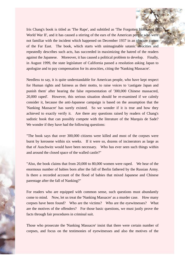Iris Chang's book is titled as 'The Rape', and subtitled as 'The Forgotten Holocaust of World War II', and it has caused a stirring of the ears of the American people who were not familiar with the incident which happened on December 1937 in an obscure corner of the Far East. The book, which starts with unimaginable satanic atrocities and repeatedly describes such acts, has succeeded in maximizing the hatred of the readers against the Japanese. Moreover, it has caused a political problem to develop. Finally, in August 1999, the state legislature of California passed a resolution asking Japan to apologize and to pay compensation for its atrocities, citing the 'Nanking Massacre'.

Needless to say, it is quite understandable for American people, who have kept respect for Human rights and fairness as their motto, to raise voices to 'castigate Japan and punish them' after hearing the false representation of '300,000 Chinese massacred, 20,000 raped'. However, this serious situation should be re-examined if we calmly consider it, because the anti-Japanese campaign is based on the assumption that the 'Nanking Massacre' has surely existed. So we wonder if it is true and how they achieved to exactly verify it. Are there any questions raised by readers of Chang's sadistic book that can possibly compete with the literature of the Marquis de Sade? We wonder if they have had the following questions:

"The book says that over 300,000 citizens were killed and most of the corpses were burnt by kerosene within six weeks. If it were so, dozens of incinerators as large as that of Auschwitz would have been necessary. Who has ever seen such things within and around the closed space of the walled castle?"

"Also, the book claims that from 20,000 to 80,000 women were raped. We hear of the enormous number of babies born after the fall of Berlin fathered by the Russian Army. Is there a recorded account of the flood of babies that mixed Japanese and Chinese parentage after the fall of Nanking?"

For readers who are equipped with common sense, such questions must abundantly come to mind. Now, let us treat the 'Nanking Massacre' as a murder case. How many corpses have been found? Who are the victims? Who are the eyewitnesses? What are the motives of the offenders? For those basic questions, we must justly prove the facts through fair procedures in criminal suit.

Those who prosecute the 'Nanking Massacre' insist that there were certain number of corpses, and focus on the testimonies of eyewitnesses and also the motives of the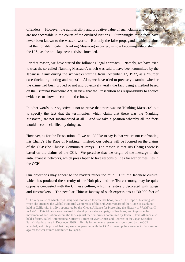offenders. However, the admissibility and probative value of such claims and evidence are not acceptable in the courts of the civilized Nations. Surprisingly, these facts have never been known to the western world. But only the false propaganda, which claims that the horrible incident (Nanking Massacre) occurred, is now becoming established in the U.S., as the anti-Japanese activists intended.

For that reason, we have started the following legal approach. Namely, we have tried to treat the so-called 'Nanking Massacre', which was said to have been committed by the Japanese Army during the six weeks starting from December 13, 1937, as a 'murder case (including looting and rapes)'. Also, we have tried to precisely examine whether the crime had been proved or not and objectively verify the fact, using a method based on the Criminal Procedure Act, in view that the Prosecution has responsibility to adduce evidences to show the committed crimes.

In other words, our objective is not to prove that there was no 'Nanking Massacre', but to specify the fact that the testimonies, which claim that there was the 'Nanking Massacre', are not substantiated at all. And we take a position whereby all the facts would become clarified by doing so.

However, as for the Prosecution, all we would like to say is that we are not confronting Iris Chang's The Rape of Nanking. Instead, our debate will be focused on the claims of the CCP (the Chinese Communist Party). The reason is that Iris Chang's view is based on the claims of the CCP. We perceive that the origin of the message in the anti-Japanese networks, which press Japan to take responsibilities for war crimes, lies in the CCP**[3](#page-4-0)**

Our objections may appear to the readers rather too mild. But, the Japanese culture, which has produced the serenity of the Noh play and the Tea ceremony, may be quite opposite contrasted with the Chinese culture, which is festively decorated with gongs and firecrackers. The peculiar Chinese fantasy of such expressions as '30,000 feet of

<span id="page-4-0"></span><sup>&</sup>lt;sup>3</sup> The very cause of which Iris Chang was motivated to write her book, called The Rape of Nanking was when she attended the Global Memorial Conference of the 57th Anniversary of the "Rape of Nanking"' held in California, in 1994, sponsored by the 'Global Alliance for Preserving the History of World War II in Asia'. This Alliance was centered to develop the sales campaign of her book, and to pursue the movement of accusation within the U.S. against the war crimes committed by Japan. This Alliance also held a forum, called 'International Citizen's Forum on War Crimes and Redress' at the Japan Socialist Party's Headquarters in December 1999. To this forum, many researchers sponsored by the CCP attended, and this proved that they were cooperating with the CCP to develop the movement of accusation against the war crimes committed by Japan.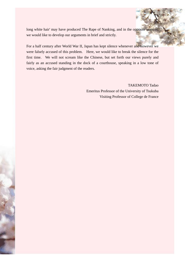long white hair' may have produced The Rape of Nanking, and in the opposite manner, we would like to develop our arguments in brief and strictly.

For a half century after World War II, Japan has kept silence whenever and however we were falsely accused of this problem. Here, we would like to break the silence for the first time. We will not scream like the Chinese, but set forth our views purely and fairly as an accused standing in the dock of a courthouse, speaking in a low tone of voice, asking the fair judgment of the readers.

> TAKEMOTO Tadao Emeritus Professor of the University of Tsukuba Visiting Professor of College de France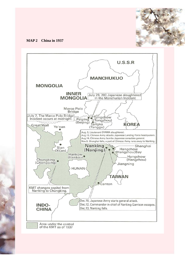

#### **MAP 2 China in 1937**

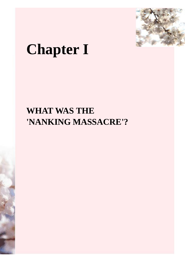

## **Chapter I**

### **WHAT WAS THE 'NANKING MASSACRE'?**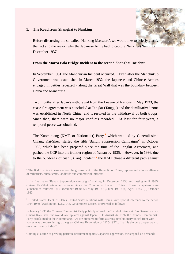#### **1. The Road from Shanghai to Nanking**

 $\overline{\phantom{a}}$ 

Before discussing the so-called 'Nanking Massacre', we would like to briefly clarify the fact and the reason why the Japanese Army had to capture Nanking (Nanjing) in December 1937.

#### **From the Marco Polo Bridge Incident to the second Shanghai Incident**

In September 1931, the Manchurian Incident occurred. Even after the Manchukuo Government was established in March 1932, the Japanese and Chinese Armies engaged in battles repeatedly along the Great Wall that was the boundary between China and Manchuria.

Two months after Japan's withdrawal from the League of Nations in May 1933, the cease-fire agreement was concluded at Tangku (Tanggu) and the demilitarized zone was established in North China, and it resulted in the withdrawal of both troops. Since then, there were no major conflicts recorded. At least for four years, a temporal peace was obtained.

The Kuomintang (KMT, or Nationalist) Party,**[4](#page-8-0)** which was led by Generalissimo Chiang Kai-Shek, started the fifth 'Bandit Suppression Campaigns'**[5](#page-8-1)** in October 1933, which had been prepared since the time of the Tangku Agreement, and pushed the CCP into the frontier region of Ya'nan by 1935. However, in 1936, due to the out-break of Sian (Xi'an) Incident,**[6](#page-8-2)** the KMT chose a different path against

Coming at a time of growing patriotic resentment against Japanese aggression, the stepped-up demands

<span id="page-8-0"></span><sup>&</sup>lt;sup>4</sup> The KMT, which in essence was the government of the Republic of China, represented a loose alliance of militarists, bureaucrats, landlords and commercial interests

<span id="page-8-1"></span><sup>&</sup>lt;sup>5</sup> 'In five major 'Bandit Suppression campaigns,' stalling in December 1930 and lasting until 1935, Chiang Kai-Shek attempted to exterminate the Communist forces in China. These campaigns were launched as follows: (1) December 1930; (2) May 1931; (3) June 1931; (4) April 1933; (5) October 1933.

<span id="page-8-2"></span><sup>6</sup> United States. Dept. of States, United States relations with China, with special reference to the period 1944-1949 (Washington. D.C., U.S. Government Office, 1949) read as follows:

In January 1936 the Chinese Communist Party publicly offered the "hand of friendship" to Generalissimo Chiang Kai-Shek if he would take up aims against Japan. On August 26, 1936, the Chinese Communist Party proclaimed to the Kuomintang, "we are prepared to form a strong revolutionary united front with you as was the case during... the great Chinese Revolution of 1925-1927... [that] is the only proper way to save our country today."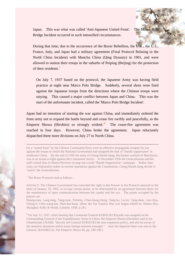Japan. This was what was called 'Anti-Japanese United Front'. The Marco Polo Bridge Incident occurred in such intensified circumstances.

During that time, due to the occurrence of the Boxer Rebellion, the U.K., the U.S., France, Italy, and Japan had a military agreement (Final Protocol Relating to the North China Incident) with Manchu China (Qing Dynasty) in 1901, and were allowed to station their troops in the suburbs of Peiping (Beijing) for the protection of their residents.**[7](#page-9-0)**

On July 7, 1937 based on the protocol, the Japanese Army was having field practice at night near Marco Polo Bridge. Suddenly, several shots were fired against the Japanese troops from the directions where the Chinese troops were staying. This caused a major conflict between Japan and China. This was the start of the unfortunate incident, called the 'Marco Polo Bridge Incident'.

Japan had no intention of starting the war against China, and immediately ordered the front army not to expand the battle beyond and cease fire swiftly and peacefully, as the Emperor Showa (Hirohito) so strongly wished.<sup>[8](#page-9-1)</sup> The cease-fire agreement was reached in four days. However, China broke the agreement. Japan reluctantly dispatched three more divisions on July 27 to North China.

<span id="page-9-0"></span>7 The Boxer Protocol read as follows :

for a "united front" by the Chinese Communist Party were an effective propaganda weapon for use against the troops to which the National Government had assigned the task of "bandit suppression" in northwest China. By the end of 1936 the army of Chang Hsueh-liang, the former warlord of Manchuria, was in no mood to fight against the Communist forces. In December 1936 the Generalissimo and his staff visited Sian in Shensi Province to map out a sixth "Bandit Suppression" campaign. Rather than carry out Nationalist orders to resume operations against the Communists, Chang Hsueh-liang decide to "arrest" the Generalissimo.

Articles 9. The Chinese Government has conceded the right to the Powers in the Protocol annexed to the letter of January 16, 1901, to occupy certain points, to be determined by an agreement between them, for the maintenance of open communication between the capital and the sea. The points occupied by the powers are:

Huang-tsun, Lang-fang, Yang-tsun, Tientsin, Chun-liang-cheng, Tang-ku, Lu-tai, Tang-shan, Lan-chou, Chang-li, Chin-wang-tao, Shan-hai-kuan. (How the Far Eastern War was begun edited by Shuhsi Hsu, Shanghai: Kelly & Walsh, Limited, 1938, p.19.)

<span id="page-9-1"></span><sup>&</sup>lt;sup>8</sup> On July 11, 1937, when hearing that Lieutenant General KOHZUKI Kiyoshi was assigned as the Commanding General of the Expeditionary Army in China, the Emperor Showa (Hirohito) said to his Chamberlain USAMI, "directly tell General KOHZUKI the non-expansion policy, and also be aware of the sensitive situations which many foreign interests entangle." And, the Imperial letter was sent to the General. (KOJIMA Jo, The Emperor Showa M, pp. 189-190.)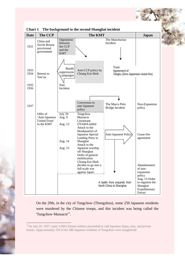

**Chart 1 The background to the second Shanghai incident** 

On the 29th, in the city of Tungchow (Thongzhou), some 250 Japanese residents were murdered by the Chinese troops, and this incident was being called the 'Tungchow Massacre'**[9](#page-10-0)** .

<span id="page-10-0"></span><sup>&</sup>lt;sup>9</sup> On July 29, 1937, some 3,000 Chinese soldiers proceeded to raid Japanese shops, inns, and private homes. Approximately 250 of the 380 Japanese residents of Tungchow were slaughtered.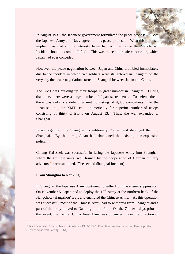In August 1937, the Japanese government formulated the peace proposal. Both the Japanese Army and Navy agreed to this peace proposal. What this proposal implied was that all the interests Japan had acquired since the Manchurian Incident should become nullified. This was indeed a drastic concession, which Japan had ever conceded.

However, the peace negotiation between Japan and China crumbled immediately due to the incident in which two soldiers were slaughtered in Shanghai on the very day the peace negotiation started in Shanghai between Japan and China.

The KMT was building up their troops in great number in Shanghai. During that time, there were a large number of Japanese residents. To defend them, there was only one defending unit consisting of 4,000 combatants. To the Japanese unit, the KMT sent a numerically far superior number of troops consisting of thirty divisions on August 13. Thus, the war expanded to Shanghai.

Japan organized the Shanghai Expeditionary Forces, and deployed them to Shanghai. By that time, Japan had abandoned the existing non-expansion policy.

Chiang Kai-Shek was successful in luring the Japanese Army into Shanghai, where the Chinese units, well trained by the cooperation of German military advisors,**[10](#page-11-0)** were stationed. (The second Shanghai Incident)

#### **From Shanghai to Nanking**

 $\overline{\phantom{a}}$ 

In Shanghai, the Japanese Army continued to suffer from the enemy suppression. On November 5, Japan had to deploy the  $10<sup>th</sup>$  Army at the northern bank of the Hangchow (Hangzhou) Bay, and encircled the Chinese Army. As this operation was successful, most of the Chinese Army had to withdraw from Shanghai and a part of the army moved to Nanking on the 9th. On the 7th, two days prior to this event, the Central China Area Army was organized under the direction of

<span id="page-11-0"></span><sup>&</sup>lt;sup>10</sup> Karl Drechsler, "Deutshland-China-Japan 1933-1939", Das Dilemma tier deutschen Femoslpolitik (Berlin: Akademie-Verlag, 1964)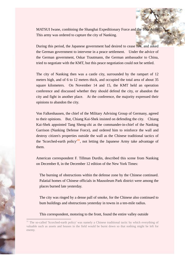MATSUI Iwane, combining the Shanghai Expeditionary Force and the 10th Army. This army was ordered to capture the city of Nanking.

During this period, the Japanese government had desired to cease fire, and asked the German government to intervene in a peace settlement. Under the advice of the German government, Oskar Trautmann, the German ambassador to China, tried to negotiate with the KMT, but this peace negotiation could not be settled.

The city of Nanking then was a castle city, surrounded by the rampart of 12 meters high, and of 6 to 12 meters thick, and occupied the total area of about 35 square kilometers. On November 14 and 15, the KMT held an operation conference and discussed whether they should defend the city, or abandon the city and fight in another place. At the conference, the majority expressed their opinions to abandon the city.

Von Falkenhausen, the chief of the Military Advising Group of Germany, agreed to their opinions. But, Chiang Kai-Shek insisted on defending the city. Chiang Kai-Shek appointed Tang Sheng-zhi as the commander-in-chief of the Nanking Garrison (Nanking Defense Force), and ordered him to reinforce the wall and destroy citizen's properties outside the wall as the Chinese traditional tactics of the 'Scorched-earth policy<sup>'[11](#page-12-0)</sup>, not letting the Japanese Army take advantage of them.

American correspondent F. Tillman Durdin, described this scene from Nanking on December 8, in the December 12 edition of the New York Times:

The burning of obstructions within the defense zone by the Chinese continued. Palatial homes of Chinese officials in Mausoleum Park district were among the places burned late yesterday.

The city was ringed by a dense pall of smoke, for the Chinese also continued to bum buildings and obstructions yesterday in towns in a ten-mile radius.

This correspondent, motoring to the front, found the entire valley outside

<span id="page-12-0"></span><sup>&</sup>lt;sup>11</sup> The so-called 'Scorched-earth policy' was namely a Chinese traditional tactic by which everything of valuable such as assets and houses in the field would be burnt down so that nothing might be left for enemy.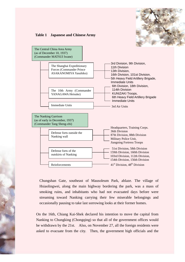

#### **Table 1 Japanese and Chinese Army**



Chungshan Gate, southeast of Mausoleum Park, ablaze. The village of Hsiaolingwei, along the main highway bordering the park, was a mass of smoking ruins, and inhabitants who had not evacuated days before were streaming toward Nanking carrying their few miserable belongings and occasionally pausing to take last sorrowing looks at their former homes.

On the 16th, Chiang Kai-Shek declared his intention to move the capital from Nanking to Chungking (Chongqing) so that all of the government offices would be withdrawn by the 21st. Also, on November 27, all the foreign residents were asked to evacuate from the city. Then, the government high officials and the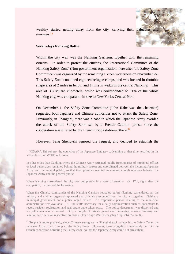wealthy started getting away from the city, carrying their valuables and furniture.**[12](#page-14-0)**

#### **Seven-days Nanking Battle**

 $\overline{\phantom{a}}$ 

Within the city wall was the Nanking Garrison, together with the remaining citizens. In order to protect the citizens, the 'International Committee of the Nanking Safety Zone' (Non-government organization, here after 'the Safety Zone Committee') was organized by the remaining sixteen westerners on November 22. This Safety Zone contained eighteen refugee camps, and was located in rhombic shape area of 2 miles in length and 1 mile in width in the central Nanking. This area of 3.8 square kilometers, which was corresponded to 11% of the whole Nanking city, was comparable in size to New York's Central Park.

On December 1, the Safety Zone Committee (John Rabe was the chairman) requested both Japanese and Chinese authorities not to attack the Safety Zone. Previously, in Shanghai, there was a case in which the Japanese Army avoided the attack of the Safety Zone set by a French Catholic priest, since the cooperation was offered by the French troops stationed there.**[13](#page-14-1)**

However, Tang Sheng-zhi ignored the request, and decided to establish the

In other cities than Nanking where the Chinese Army retreated, public functionaries of municipal offices or local personages remained behind the military retreat and coordinated between the incoming Japanese Army and the general public, so that their presence resulted in making smooth relations between the Japanese Army and the general public.

When Nanking surrendered the city was completely in a state of anarchy. On 17th, right after the occupation, I witnessed the following:

When the Chinese commander of the Nanking Garrison retreated before Nanking surrendered, all the military and civilian organs disappeared and officials absconded from the city all together. Neither a municipal government nor a police organ existed. No responsible person relating to the municipal administration was available. All the stuffs necessary for a daily administration such as documents to record resident registration and real estate were taken away. The police department was dissolved and no policeman was witnessed. Only a couple of private guard men belonging to each Embassy and legation were seen on respective premises. {The Tokyo War Crimes Trial', pp. 21457-21458.)

<span id="page-14-1"></span><sup>13</sup> To put it more precisely, since Chinese stragglers in Shanghai took refuge in the Safety Zone, the Japanese Army tried to mop up the Safety Zone. However, these stragglers immediately ran into the French concession bordering the Safety Zone, so that the Japanese Army could not arrest them.

<span id="page-14-0"></span><sup>&</sup>lt;sup>12</sup> HIDAKA Shinrokuro, the councilor of the Japanese Embassy to Nanking at that time, testified in his affidavit in the IMTFE as follows: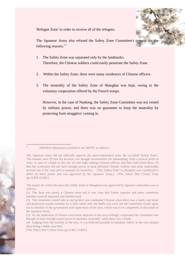'Refugee Zone' in order to receive all of the refugees.

The Japanese Army also refused the Safety Zone Committee's request for the following reasons:**[14](#page-15-0)**

- 1. The Safety Zone was separated only by the landmarks. Therefore, the Chinese soldiers could easily penetrate the Safety Zone.
- 2. Within the Safety Zone, there were many residences of Chinese officers.
- 3. The neutrality of the Safety Zone of Shanghai was kept, owing to the voluntary cooperation offered by the French troops.

However, in the case of Nanking, the Safety Zone Committee was not vested by military power, and there was no guarantee to keep the neutrality by protecting from stragglers' coming in.

<sup>14</sup> HIDAKA Shinrokuro testified in the IMTFE as follows:

<span id="page-15-0"></span>The Japanese Army did not officially approve the above-mentioned zone, the so-called 'Safety Zone." The reasons were (I) that the location was thought inconvenient for safekeeping, from a tactical point of view, in case of a battle in the city (2) that high ranking Chinese officers and their staff lived there, (3) that the committee did not have enough power to keep defeated Chinese soldiers and other undesirable persons out of the zone and to maintain its 'neutrality.' (The 'Safety Zone' in Shanghai was considered to differ on these points and was approved by the Japanese Army.) (The Tokyo War Crimes Trial, pp.21459-21460.)

The reason for which the plan (the Safety Zone in Shanghai) was approved by Japanese authorities was as follows:

<sup>(1)</sup> The Area was purely a Chinese town and it was clear that Father Jaquinot and other committee member were all impartial and disinterested.

<sup>(2)</sup> The committee would take in and protect non-combatant Chinese when there was a battle, and relief and protection would continue for a little while after the battle was over, but the committee would agree not to interfere in the government and supervision of the area, which was to be completely in the hands of the Japanese Army.

<sup>(3)</sup> As the authorities of French concession adjacent to the area willingly cooperated the committee was thought to have enough actual power to maintain 'neutrality' when there was a battle.

<sup>(4)</sup> Judging from the location of the area, it was believed possible to maintain 'safety' in the area despite there being a battle near here.

<sup>(</sup>The Tokyo War Crimes Trial, pp.21461-21463.)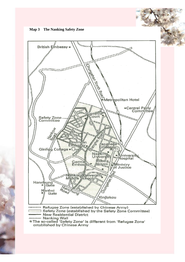



......... Refugee Zone (established by Chinese Army). Safety Zone (established by the Safety Zone Committee) **New Residential District** 

Warking Wall<br>\* The so-called 'Safety Zone' is different from 'Refugee Zone' established by Chinese Army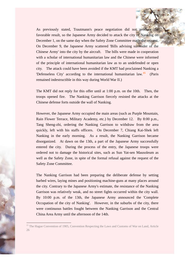As previously stated, Trautmann's peace negotiation did not produce the favorable result, so the Japanese Army decided to attack the city of Nanking on December 1, on the same day when the Safety Zone Committee made the request. On December 9, the Japanese Army scattered 'Bills advising surrender of the Chinese Army' into the city by the aircraft. The bills were made in cooperation with a scholar of international humanitarian law and the Chinese were informed of the principle of international humanitarian law as to an undefended or open city. The attack could have been avoided if the KMT had proclaimed Nanking a 'Defenseless City' according to the international humanitarian law.**[15](#page-17-0)** (Paris remained indestructible in this way during World War II.)

The KMT did not reply for this offer until at 1:00 p.m. on the 10th. Then, the troops opened fire. The Nanking Garrison fiercely resisted the attacks at the Chinese defense forts outside the wall of Nanking.

However, the Japanese Army occupied the main areas (such as Purple Mountain, Rain Flower Terrace, Military Academy, etc.) by December 12. By 8:00 p.m., Tang Sheng-zhi, ordering the Nanking Garrison to withdraw from the area quickly, left with his staffs officers. On December 7, Chiang Kai-Shek left Nanking in the early morning. As a result, the Nanking Garrison became disorganized. At dawn on the 13th, a part of the Japanese Army successfully entered the city. During the process of the entry, the Japanese troops were ordered not to damage the historical sites, such as Sun Yat-sen Mausoleum as well as the Safety Zone, in spite of the formal refusal against the request of the Safety Zone Committee.

The Nanking Garrison had been preparing the deliberate defense by setting barbed wires, laying mines and positioning machine-guns at many places around the city. Contrary to the Japanese Army's estimate, the resistance of the Nanking Garrison was relatively weak, and no street fights occurred within the city wall. By 10:00 p.m. of the 13th, the Japanese Army announced the 'Complete Occupation of the city of Nanking'. However, in the suburbs of the city, there were continuous battles fought between the Nanking Garrison and the Central China Area Army until the afternoon of the 14th.

<span id="page-17-0"></span><sup>&</sup>lt;sup>15</sup> The Hague Convention of 1905, Convention Respecting the Laws and Customs of War on Land, Article 26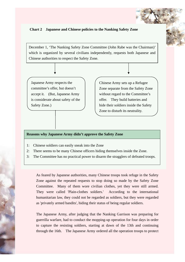#### **Chart 2 Japanese and Chinese policies to the Nanking Safety Zone**

December 1, 'The Nanking Safety Zone Committee (John Rabe was the Chairman)' which is organized by several civilians independently, requests both Japanese and Chinese authorities to respect the Safety Zone.

Japanese Army respects the committee's offer, but doesn't accept it. (But, Japanese Army is considerate about safety of the Safety Zone.)

Chinese Army sets up a Refugee Zone separate from the Safety Zone without regard to the Committee's offer. They build batteries and hide their soldiers inside the Safety Zone to disturb its neutrality.

#### **Reasons why Japanese Army didn't approve the Safety Zone**

- 1: Chinese soldiers can easily sneak into the Zone
- 2: There seems to be many Chinese officers hiding themselves inside the Zone.
- 3: The Committee has no practical power to disarm the stragglers of defeated troops.

As feared by Japanese authorities, many Chinese troops took refuge in the Safety Zone against the repeated requests to stop doing so made by the Safety Zone Committee. Many of them wore civilian clothes, yet they were still armed. They were called 'Plain-clothes soldiers.' According to the international humanitarian law, they could not be regarded as soldiers, but they were regarded as 'privately armed bandits', hiding their status of being regular soldiers.

The Japanese Army, after judging that the Nanking Garrison was preparing for guerrilla warfare, had to conduct the mopping-up operation for four days in order to capture the resisting soldiers, starting at dawn of the 13th and continuing through the 16th. The Japanese Army ordered all the operation troops to protect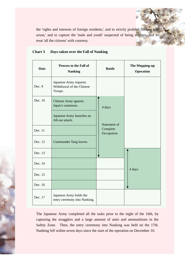the 'rights and interests of foreign residents,' and to strictly prohibit 'looting and arson,' and to capture the 'male and youth' suspected of being soldiers, and to treat 'all the citizens' with courtesy.

| <b>Date</b> | Process to the Fall of<br><b>Nanking</b>                                                 | <b>Battle</b>                          | The Mopping-up<br>Operation |
|-------------|------------------------------------------------------------------------------------------|----------------------------------------|-----------------------------|
| Dec. 9      | Japanese Army requests<br>Withdrawal of the Chinese<br>Troops.                           |                                        |                             |
| Dec. 10     | Chinese Army ignores<br>Japan's summons.<br>Japanese Army launches an<br>All-out attack. | 4 days                                 |                             |
| Dec. 11     |                                                                                          | Statement of<br>Complete<br>Occupation |                             |
| Dec. 12     | Commander Tang leaves.                                                                   |                                        |                             |
| Dec. 13     |                                                                                          |                                        |                             |
| Dec. 14     |                                                                                          | 4 days                                 |                             |
| Dec. 15     |                                                                                          |                                        |                             |
| Dec. 16     |                                                                                          |                                        |                             |
| Dec. 17     | Japanese Army holds the<br>entry ceremony into Nanking.                                  |                                        |                             |

#### **Chart 3 Days taken over the Fall of Nanking**

The Japanese Army completed all the tasks prior to the night of the 16th, by capturing the stragglers and a large amount of amis and ammunitions in the Safety Zone. Then, the entry ceremony into Nanking was held on the 17th. Nanking fell within seven days since the start of the operation on December 10.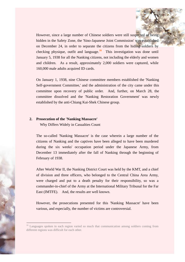However, since a large number of Chinese soldiers were still suspected of being hidden in the Safety Zone, the 'Sino-Japanese Joint Commission' was established on December 24, in order to separate the citizens from the hiding soldiers by checking physique, outfit and language.**[16](#page-20-0)** This investigation was done until January 5, 1938 for all the Nanking citizens, not including the elderly and women and children. As a result, approximately 2,000 soldiers were captured, while 160,000 male adults acquired ID cards.

On January 1, 1938, nine Chinese committee members established the 'Nanking Self-government Committee,' and the administration of the city came under this committee upon recovery of public order. And, further, on March 28, the committee dissolved and the 'Nanking Restoration Government' was newly established by the anti-Chiang Kai-Shek Chinese group.

#### **2. Prosecution of the 'Nanking Massacre'**

 $\overline{\phantom{a}}$ 

Why Differs Widely in Casualties Count

The so-called 'Nanking Massacre' is the case wherein a large number of the citizens of Nanking and the captives have been alleged to have been murdered during the six weeks' occupation period under the Japanese Army, from December 13 immediately after the fall of Nanking through the beginning of February of 1938.

After World War II, the Nanking District Court was held by the KMT, and a chief of division and three officers, who belonged to the Central China Area Army, were charged and put to a death penalty for their responsibility, so was a commander-in-chief of the Army at the International Military Tribunal for the Far East (IMTFE). And, the results are well known.

However, the prosecutions presented for this 'Nanking Massacre' have been various, and especially, the number of victims are controversial.

<span id="page-20-0"></span><sup>&</sup>lt;sup>16</sup> Languages spoken in each region varied so much that communication among soldiers coming from different regions was difficult for each other.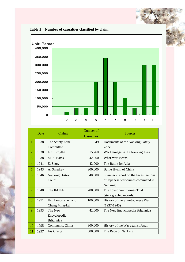

| Table 2 Number of casualties classified by claim |  |
|--------------------------------------------------|--|
|--------------------------------------------------|--|

|                | Date | Claims                  | Number of<br>Casualties | <b>Sources</b>                       |
|----------------|------|-------------------------|-------------------------|--------------------------------------|
| $\mathbf{1}$   | 1938 | The Safety Zone         | 49                      | Documents of the Nanking Safety      |
|                |      | Committee               |                         | Zone                                 |
| $\overline{2}$ | 1938 | L.C. Smythe             | 15,760                  | War Damage in the Nanking Area       |
| 3              | 1938 | M. S. Bates             | 42,000                  | <b>What War Means</b>                |
| 4              | 1941 | E. Snow                 | 42,000                  | The Battle for Asia                  |
| 5              | 1943 | A. Smedley              | 200,000                 | Battle Hymn of China                 |
| 6              | 1946 | <b>Nanking District</b> | 340,000                 | Summary report on the Investigations |
|                |      | Court                   |                         | of Japanese war crimes committed in  |
|                |      |                         |                         | Nanking                              |
| $\tau$         | 1948 | The IMTFE               | 200,000                 | The Tokyo War Crimes Trial           |
|                |      |                         |                         | (stenographic records)               |
| 8              | 1971 | Hsu Long-hsuen and      | 100,000                 | History of the Sino-Japanese War     |
|                |      | Chang Ming-kai          |                         | $(1937-1945)$                        |
| 9              | 1993 | The New                 | 42,000                  | The New Encyclopedia Britannica      |
|                |      | Encyclopedia            |                         |                                      |
|                |      | <b>Britannica</b>       |                         |                                      |
| 10             | 1995 | Communist China         | 300,000                 | History of the War against Japan     |
| 11             | 1997 | Iris Chang              | 300,000                 | The Rape of Nanking                  |